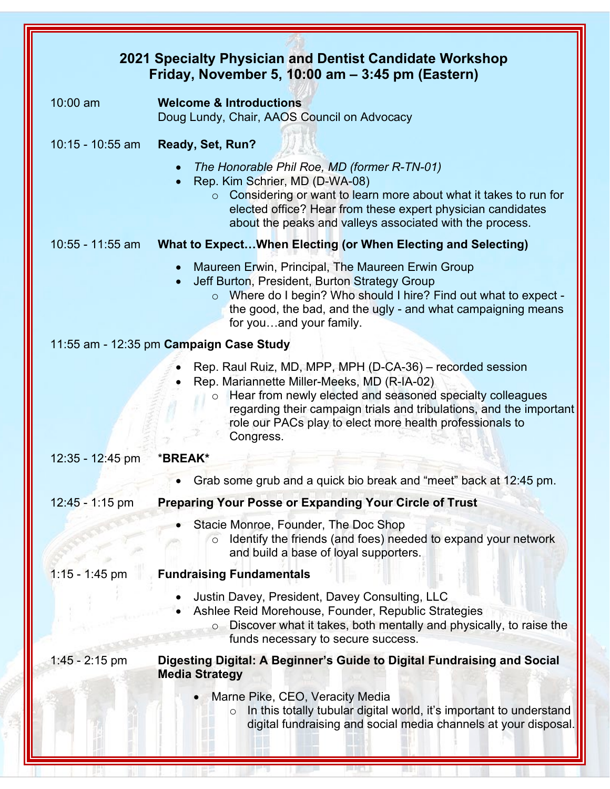| 2021 Specialty Physician and Dentist Candidate Workshop<br>Friday, November 5, 10:00 am - 3:45 pm (Eastern) |                                                                                                                                                                                                                                                                                                                                  |  |
|-------------------------------------------------------------------------------------------------------------|----------------------------------------------------------------------------------------------------------------------------------------------------------------------------------------------------------------------------------------------------------------------------------------------------------------------------------|--|
|                                                                                                             |                                                                                                                                                                                                                                                                                                                                  |  |
| 10:00 am                                                                                                    | <b>Welcome &amp; Introductions</b><br>Doug Lundy, Chair, AAOS Council on Advocacy                                                                                                                                                                                                                                                |  |
| $10:15 - 10:55$ am                                                                                          | Ready, Set, Run?                                                                                                                                                                                                                                                                                                                 |  |
|                                                                                                             | The Honorable Phil Roe, MD (former R-TN-01)<br>Rep. Kim Schrier, MD (D-WA-08)<br>Considering or want to learn more about what it takes to run for<br>$\circ$<br>elected office? Hear from these expert physician candidates<br>about the peaks and valleys associated with the process.                                          |  |
| $10:55 - 11:55$ am                                                                                          | What to ExpectWhen Electing (or When Electing and Selecting)                                                                                                                                                                                                                                                                     |  |
|                                                                                                             | Maureen Erwin, Principal, The Maureen Erwin Group<br>$\bullet$<br>Jeff Burton, President, Burton Strategy Group<br>$\bullet$<br>o Where do I begin? Who should I hire? Find out what to expect -<br>the good, the bad, and the ugly - and what campaigning means<br>for youand your family.                                      |  |
|                                                                                                             | 11:55 am - 12:35 pm Campaign Case Study                                                                                                                                                                                                                                                                                          |  |
|                                                                                                             | Rep. Raul Ruiz, MD, MPP, MPH (D-CA-36) – recorded session<br>Rep. Mariannette Miller-Meeks, MD (R-IA-02)<br>Hear from newly elected and seasoned specialty colleagues<br>$\circ$<br>regarding their campaign trials and tribulations, and the important<br>role our PACs play to elect more health professionals to<br>Congress. |  |
| $12:35 - 12:45$ pm                                                                                          | *BREAK*                                                                                                                                                                                                                                                                                                                          |  |
|                                                                                                             | Grab some grub and a quick bio break and "meet" back at 12:45 pm.                                                                                                                                                                                                                                                                |  |
| 12:45 - 1:15 pm                                                                                             | <b>Preparing Your Posse or Expanding Your Circle of Trust</b>                                                                                                                                                                                                                                                                    |  |
|                                                                                                             | Stacie Monroe, Founder, The Doc Shop<br>Identify the friends (and foes) needed to expand your network<br>and build a base of loyal supporters.                                                                                                                                                                                   |  |
| $1:15 - 1:45$ pm                                                                                            | <b>Fundraising Fundamentals</b>                                                                                                                                                                                                                                                                                                  |  |
|                                                                                                             | Justin Davey, President, Davey Consulting, LLC<br>Ashlee Reid Morehouse, Founder, Republic Strategies<br>Discover what it takes, both mentally and physically, to raise the<br>funds necessary to secure success.                                                                                                                |  |
| $1:45 - 2:15$ pm                                                                                            | Digesting Digital: A Beginner's Guide to Digital Fundraising and Social<br><b>Media Strategy</b>                                                                                                                                                                                                                                 |  |
|                                                                                                             | Marne Pike, CEO, Veracity Media<br>In this totally tubular digital world, it's important to understand<br>$\circ$<br>digital fundraising and social media channels at your disposal.                                                                                                                                             |  |

**SHARTER** 

JAN: